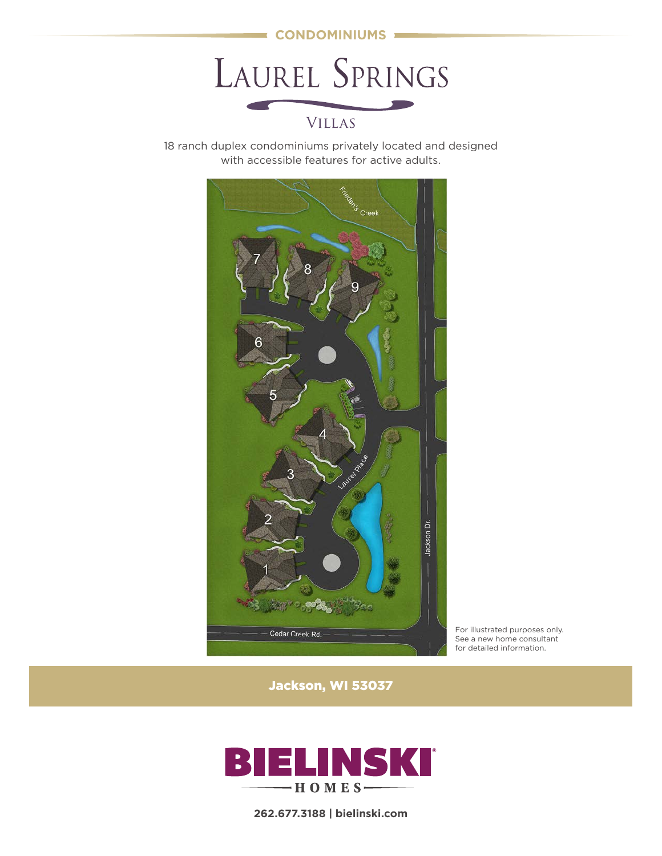

LAUREL SPRINGS

# VILLAS

18 ranch duplex condominiums privately located and designed with accessible features for active adults.



For illustrated purposes only. See a new home consultant for detailed information.

Jackson, WI 53037



**262.677.3188 | bielinski.com**